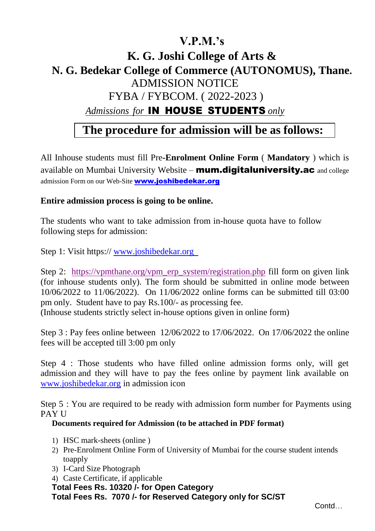### **V.P.M.'s**

# **K. G. Joshi College of Arts & N. G. Bedekar College of Commerce (AUTONOMUS), Thane.** ADMISSION NOTICE FYBA / FYBCOM. ( 2022-2023 ) *Admissions for* IN HOUSE STUDENTS *only*

## **The procedure for admission will be as follows:**

All Inhouse students must fill Pre**-Enrolment Online Form** ( **Mandatory** ) which is available on Mumbai University Website – mum.digitaluniversity.ac and college admission Form on our Web-Site **[www.joshibedekar.org](http://www.joshibedekar.org/)** 

#### **Entire admission process is going to be online.**

The students who want to take admission from in-house quota have to follow following steps for admission:

Step 1: Visit https:// www.joshibedekar.org

Step 2: [https://vpmthane.org/vpm\\_erp\\_system/registration.php](https://vpmthane.org/vpm_erp_system/registration.php) fill form on given link (for inhouse students only). The form should be submitted in online mode between 10/06/2022 to 11/06/2022). On 11/06/2022 online forms can be submitted till 03:00 pm only. Student have to pay Rs.100/- as processing fee. (Inhouse students strictly select in-house options given in online form)

Step 3 : Pay fees online between 12/06/2022 to 17/06/2022. On 17/06/2022 the online fees will be accepted till 3:00 pm only

Step 4 : Those students who have filled online admission forms only, will get admission and they will have to pay the fees online by payment link available on [www.joshibedekar.org](http://www.joshibedekar.org/) in admission icon

Step 5 : You are required to be ready with admission form number for Payments using PAY U

#### **Documents required for Admission (to be attached in PDF format)**

- 1) HSC mark-sheets (online )
- 2) Pre-Enrolment Online Form of University of Mumbai for the course student intends toapply
- 3) I-Card Size Photograph
- 4) Caste Certificate, if applicable
- **Total Fees Rs. 10320 /- for Open Category**

**Total Fees Rs. 7070 /- for Reserved Category only for SC/ST**

Contd…